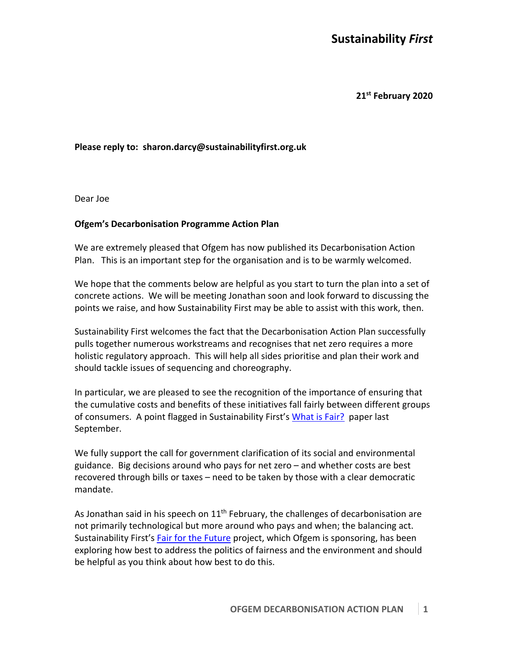# **Sustainability** *First*

**21st February 2020**

#### **Please reply to: sharon.darcy@sustainabilityfirst.org.uk**

Dear Joe

#### **Ofgem's Decarbonisation Programme Action Plan**

We are extremely pleased that Ofgem has now published its Decarbonisation Action Plan. This is an important step for the organisation and is to be warmly welcomed.

We hope that the comments below are helpful as you start to turn the plan into a set of concrete actions. We will be meeting Jonathan soon and look forward to discussing the points we raise, and how Sustainability First may be able to assist with this work, then.

Sustainability First welcomes the fact that the Decarbonisation Action Plan successfully pulls together numerous workstreams and recognises that net zero requires a more holistic regulatory approach. This will help all sides prioritise and plan their work and should tackle issues of sequencing and choreography.

In particular, we are pleased to see the recognition of the importance of ensuring that the cumulative costs and benefits of these initiatives fall fairly between different groups of consumers. A point flagged in Sustainability First's What is Fair? paper last September.

We fully support the call for government clarification of its social and environmental guidance. Big decisions around who pays for net zero – and whether costs are best recovered through bills or taxes – need to be taken by those with a clear democratic mandate.

As Jonathan said in his speech on  $11<sup>th</sup>$  February, the challenges of decarbonisation are not primarily technological but more around who pays and when; the balancing act. Sustainability First's Fair for the Future project, which Ofgem is sponsoring, has been exploring how best to address the politics of fairness and the environment and should be helpful as you think about how best to do this.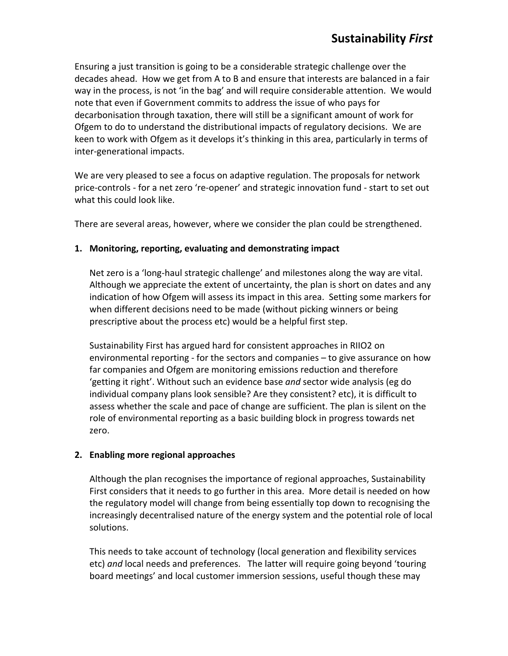Ensuring a just transition is going to be a considerable strategic challenge over the decades ahead. How we get from A to B and ensure that interests are balanced in a fair way in the process, is not 'in the bag' and will require considerable attention. We would note that even if Government commits to address the issue of who pays for decarbonisation through taxation, there will still be a significant amount of work for Ofgem to do to understand the distributional impacts of regulatory decisions. We are keen to work with Ofgem as it develops it's thinking in this area, particularly in terms of inter-generational impacts.

We are very pleased to see a focus on adaptive regulation. The proposals for network price-controls - for a net zero 're-opener' and strategic innovation fund - start to set out what this could look like.

There are several areas, however, where we consider the plan could be strengthened.

## **1. Monitoring, reporting, evaluating and demonstrating impact**

Net zero is a 'long-haul strategic challenge' and milestones along the way are vital. Although we appreciate the extent of uncertainty, the plan is short on dates and any indication of how Ofgem will assess its impact in this area. Setting some markers for when different decisions need to be made (without picking winners or being prescriptive about the process etc) would be a helpful first step.

Sustainability First has argued hard for consistent approaches in RIIO2 on environmental reporting - for the sectors and companies – to give assurance on how far companies and Ofgem are monitoring emissions reduction and therefore 'getting it right'. Without such an evidence base *and* sector wide analysis (eg do individual company plans look sensible? Are they consistent? etc), it is difficult to assess whether the scale and pace of change are sufficient. The plan is silent on the role of environmental reporting as a basic building block in progress towards net zero.

## **2. Enabling more regional approaches**

Although the plan recognises the importance of regional approaches, Sustainability First considers that it needs to go further in this area. More detail is needed on how the regulatory model will change from being essentially top down to recognising the increasingly decentralised nature of the energy system and the potential role of local solutions.

This needs to take account of technology (local generation and flexibility services etc) *and* local needs and preferences. The latter will require going beyond 'touring board meetings' and local customer immersion sessions, useful though these may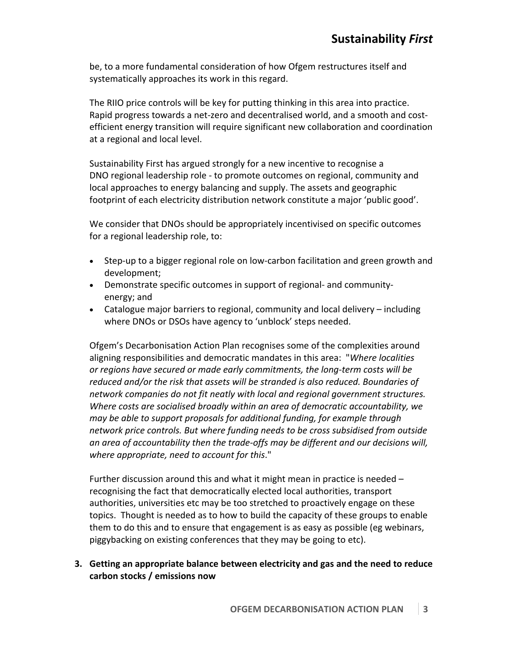be, to a more fundamental consideration of how Ofgem restructures itself and systematically approaches its work in this regard.

The RIIO price controls will be key for putting thinking in this area into practice. Rapid progress towards a net-zero and decentralised world, and a smooth and costefficient energy transition will require significant new collaboration and coordination at a regional and local level.

Sustainability First has argued strongly for a new incentive to recognise a DNO regional leadership role - to promote outcomes on regional, community and local approaches to energy balancing and supply. The assets and geographic footprint of each electricity distribution network constitute a major 'public good'.

We consider that DNOs should be appropriately incentivised on specific outcomes for a regional leadership role, to:

- Step-up to a bigger regional role on low-carbon facilitation and green growth and development;
- Demonstrate specific outcomes in support of regional- and communityenergy; and
- Catalogue major barriers to regional, community and local delivery including where DNOs or DSOs have agency to 'unblock' steps needed.

Ofgem's Decarbonisation Action Plan recognises some of the complexities around aligning responsibilities and democratic mandates in this area: "*Where localities or regions have secured or made early commitments, the long-term costs will be reduced and/or the risk that assets will be stranded is also reduced. Boundaries of network companies do not fit neatly with local and regional government structures. Where costs are socialised broadly within an area of democratic accountability, we may be able to support proposals for additional funding, for example through network price controls. But where funding needs to be cross subsidised from outside an area of accountability then the trade-offs may be different and our decisions will, where appropriate, need to account for this*."

Further discussion around this and what it might mean in practice is needed – recognising the fact that democratically elected local authorities, transport authorities, universities etc may be too stretched to proactively engage on these topics. Thought is needed as to how to build the capacity of these groups to enable them to do this and to ensure that engagement is as easy as possible (eg webinars, piggybacking on existing conferences that they may be going to etc).

**3. Getting an appropriate balance between electricity and gas and the need to reduce carbon stocks / emissions now**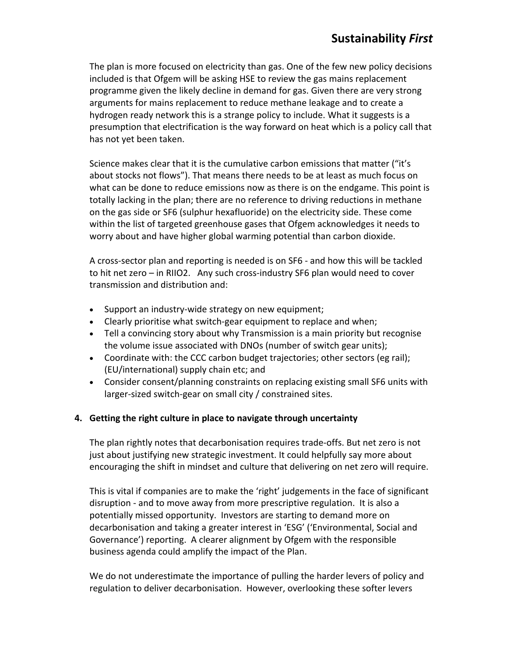The plan is more focused on electricity than gas. One of the few new policy decisions included is that Ofgem will be asking HSE to review the gas mains replacement programme given the likely decline in demand for gas. Given there are very strong arguments for mains replacement to reduce methane leakage and to create a hydrogen ready network this is a strange policy to include. What it suggests is a presumption that electrification is the way forward on heat which is a policy call that has not yet been taken.

Science makes clear that it is the cumulative carbon emissions that matter ("it's about stocks not flows"). That means there needs to be at least as much focus on what can be done to reduce emissions now as there is on the endgame. This point is totally lacking in the plan; there are no reference to driving reductions in methane on the gas side or SF6 (sulphur hexafluoride) on the electricity side. These come within the list of targeted greenhouse gases that Ofgem acknowledges it needs to worry about and have higher global warming potential than carbon dioxide.

A cross-sector plan and reporting is needed is on SF6 - and how this will be tackled to hit net zero – in RIIO2. Any such cross-industry SF6 plan would need to cover transmission and distribution and:

- Support an industry-wide strategy on new equipment;
- Clearly prioritise what switch-gear equipment to replace and when;
- Tell a convincing story about why Transmission is a main priority but recognise the volume issue associated with DNOs (number of switch gear units);
- Coordinate with: the CCC carbon budget trajectories; other sectors (eg rail); (EU/international) supply chain etc; and
- Consider consent/planning constraints on replacing existing small SF6 units with larger-sized switch-gear on small city / constrained sites.

## **4. Getting the right culture in place to navigate through uncertainty**

The plan rightly notes that decarbonisation requires trade-offs. But net zero is not just about justifying new strategic investment. It could helpfully say more about encouraging the shift in mindset and culture that delivering on net zero will require.

This is vital if companies are to make the 'right' judgements in the face of significant disruption - and to move away from more prescriptive regulation. It is also a potentially missed opportunity. Investors are starting to demand more on decarbonisation and taking a greater interest in 'ESG' ('Environmental, Social and Governance') reporting. A clearer alignment by Ofgem with the responsible business agenda could amplify the impact of the Plan.

We do not underestimate the importance of pulling the harder levers of policy and regulation to deliver decarbonisation. However, overlooking these softer levers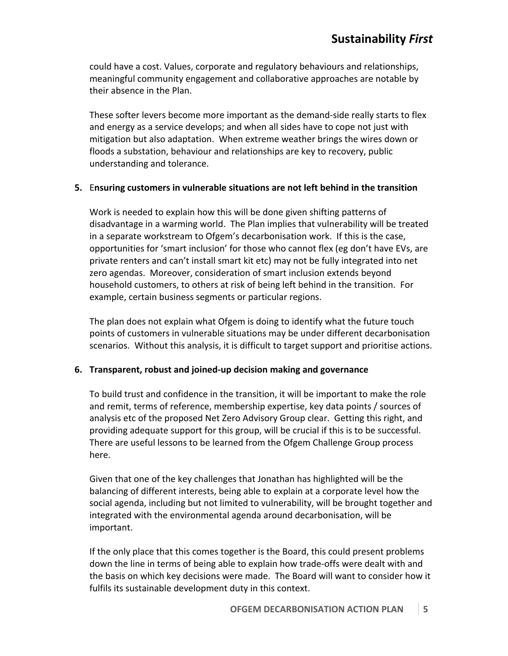could have a cost. Values, corporate and regulatory behaviours and relationships, meaningful community engagement and collaborative approaches are notable by their absence in the Plan.

These softer levers become more important as the demand-side really starts to flex and energy as a service develops; and when all sides have to cope not just with mitigation but also adaptation. When extreme weather brings the wires down or floods a substation, behaviour and relationships are key to recovery, public understanding and tolerance.

## **5.** E**nsuring customers in vulnerable situations are not left behind in the transition**

Work is needed to explain how this will be done given shifting patterns of disadvantage in a warming world. The Plan implies that vulnerability will be treated in a separate workstream to Ofgem's decarbonisation work. If this is the case, opportunities for 'smart inclusion' for those who cannot flex (eg don't have EVs, are private renters and can't install smart kit etc) may not be fully integrated into net zero agendas. Moreover, consideration of smart inclusion extends beyond household customers, to others at risk of being left behind in the transition. For example, certain business segments or particular regions.

The plan does not explain what Ofgem is doing to identify what the future touch points of customers in vulnerable situations may be under different decarbonisation scenarios. Without this analysis, it is difficult to target support and prioritise actions.

## **6. Transparent, robust and joined-up decision making and governance**

To build trust and confidence in the transition, it will be important to make the role and remit, terms of reference, membership expertise, key data points / sources of analysis etc of the proposed Net Zero Advisory Group clear. Getting this right, and providing adequate support for this group, will be crucial if this is to be successful. There are useful lessons to be learned from the Ofgem Challenge Group process here.

Given that one of the key challenges that Jonathan has highlighted will be the balancing of different interests, being able to explain at a corporate level how the social agenda, including but not limited to vulnerability, will be brought together and integrated with the environmental agenda around decarbonisation, will be important.

If the only place that this comes together is the Board, this could present problems down the line in terms of being able to explain how trade-offs were dealt with and the basis on which key decisions were made. The Board will want to consider how it fulfils its sustainable development duty in this context.